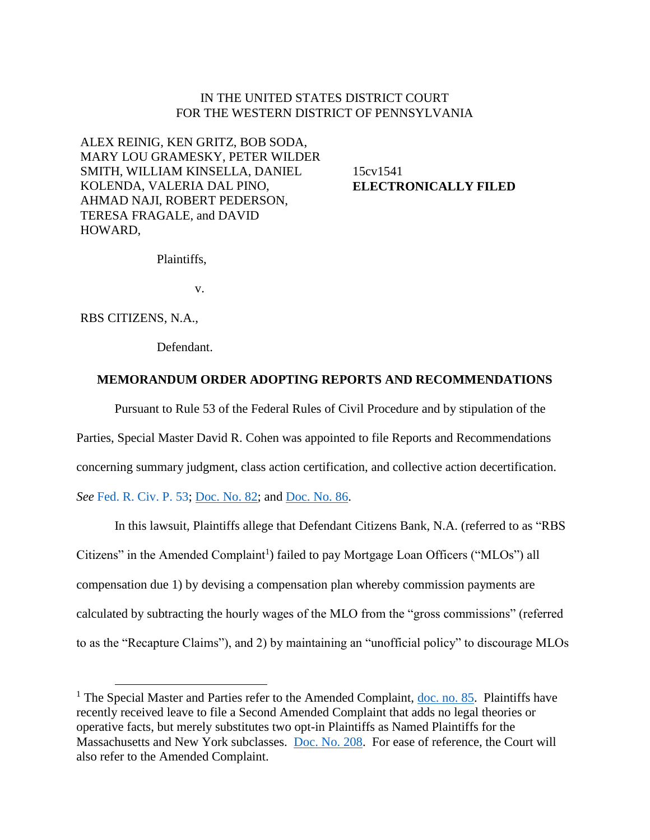### IN THE UNITED STATES DISTRICT COURT FOR THE WESTERN DISTRICT OF PENNSYLVANIA

ALEX REINIG, KEN GRITZ, BOB SODA, MARY LOU GRAMESKY, PETER WILDER SMITH, WILLIAM KINSELLA, DANIEL KOLENDA, VALERIA DAL PINO, AHMAD NAJI, ROBERT PEDERSON, TERESA FRAGALE, and DAVID HOWARD,

15cv1541 **ELECTRONICALLY FILED**

Plaintiffs,

v.

RBS CITIZENS, N.A.,

 $\overline{a}$ 

Defendant.

#### **MEMORANDUM ORDER ADOPTING REPORTS AND RECOMMENDATIONS**

Pursuant to Rule 53 of the Federal Rules of Civil Procedure and by stipulation of the

Parties, Special Master David R. Cohen was appointed to file Reports and Recommendations

concerning summary judgment, class action certification, and collective action decertification.

*See* [Fed. R. Civ. P. 53;](http://www.westlaw.com/Find/default.wl?rs=kmfn4.8&vr=2.0&kmvr=2.6&FindType=L&DB=1000600&DocName=USFRCPR53&kmsource=da3.0) [Doc. No. 82;](https://ecf.pawd.uscourts.gov/doc1/15715498030) and [Doc. No. 86.](https://ecf.pawd.uscourts.gov/doc1/15715512247)

In this lawsuit, Plaintiffs allege that Defendant Citizens Bank, N.A. (referred to as "RBS Citizens" in the Amended Complaint<sup>1</sup>) failed to pay Mortgage Loan Officers ("MLOs") all compensation due 1) by devising a compensation plan whereby commission payments are calculated by subtracting the hourly wages of the MLO from the "gross commissions" (referred to as the "Recapture Claims"), and 2) by maintaining an "unofficial policy" to discourage MLOs

<sup>&</sup>lt;sup>1</sup> The Special Master and Parties refer to the Amended Complaint,  $\underline{doc.~no.~85}$ . Plaintiffs have recently received leave to file a Second Amended Complaint that adds no legal theories or operative facts, but merely substitutes two opt-in Plaintiffs as Named Plaintiffs for the Massachusetts and New York subclasses. [Doc. No. 208.](https://ecf.pawd.uscourts.gov/doc1/15715838490) For ease of reference, the Court will also refer to the Amended Complaint.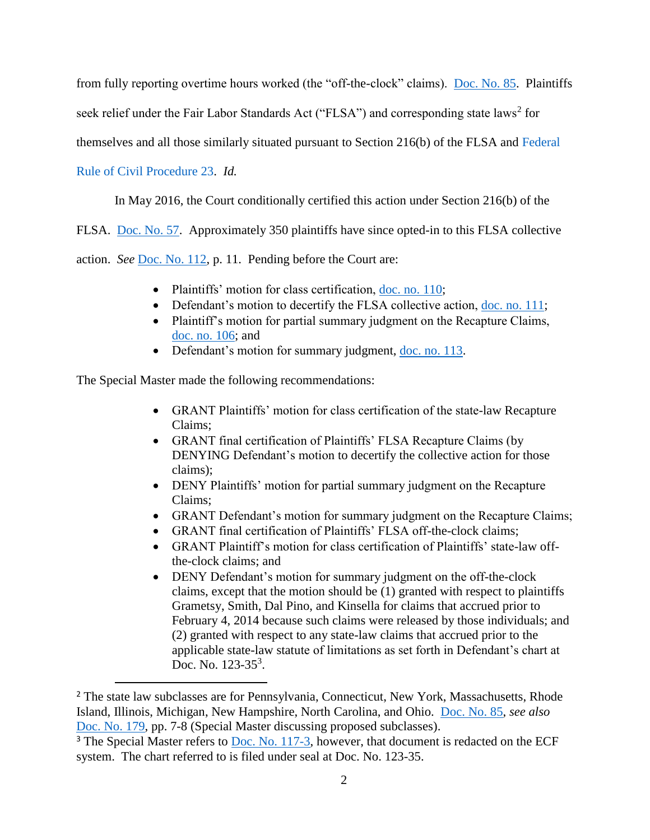from fully reporting overtime hours worked (the "off-the-clock" claims). [Doc. No. 85.](https://ecf.pawd.uscourts.gov/doc1/15715511895) Plaintiffs

seek relief under the Fair Labor Standards Act ("FLSA") and corresponding state laws<sup>2</sup> for

themselves and all those similarly situated pursuant to Section 216(b) of the FLSA and [Federal](http://www.westlaw.com/Find/default.wl?rs=kmfn4.8&vr=2.0&kmvr=2.6&FindType=L&DB=1000600&DocName=USFRCPR23&kmsource=da3.0) 

# [Rule of Civil Procedure 23.](http://www.westlaw.com/Find/default.wl?rs=kmfn4.8&vr=2.0&kmvr=2.6&FindType=L&DB=1000600&DocName=USFRCPR23&kmsource=da3.0) *Id.*

 $\overline{a}$ 

In May 2016, the Court conditionally certified this action under Section 216(b) of the

FLSA. [Doc. No. 57.](https://ecf.pawd.uscourts.gov/doc1/15715197967) Approximately 350 plaintiffs have since opted-in to this FLSA collective

action. *See* [Doc. No. 112,](https://ecf.pawd.uscourts.gov/doc1/15715671133) p. 11. Pending before the Court are:

- Plaintiffs' motion for class certification, [doc. no. 110;](https://ecf.pawd.uscourts.gov/doc1/15715671088)
- Defendant's motion to decertify the FLSA collective action, [doc. no. 111;](https://ecf.pawd.uscourts.gov/doc1/15715671129)
- Plaintiff's motion for partial summary judgment on the Recapture Claims, [doc. no. 106;](https://ecf.pawd.uscourts.gov/doc1/15715671011) and
- Defendant's motion for summary judgment, [doc. no. 113.](https://ecf.pawd.uscourts.gov/doc1/15715671137)

The Special Master made the following recommendations:

- GRANT Plaintiffs' motion for class certification of the state-law Recapture Claims;
- GRANT final certification of Plaintiffs' FLSA Recapture Claims (by DENYING Defendant's motion to decertify the collective action for those claims);
- DENY Plaintiffs' motion for partial summary judgment on the Recapture Claims;
- GRANT Defendant's motion for summary judgment on the Recapture Claims;
- GRANT final certification of Plaintiffs' FLSA off-the-clock claims;
- GRANT Plaintiff's motion for class certification of Plaintiffs' state-law offthe-clock claims; and
- DENY Defendant's motion for summary judgment on the off-the-clock claims, except that the motion should be (1) granted with respect to plaintiffs Grametsy, Smith, Dal Pino, and Kinsella for claims that accrued prior to February 4, 2014 because such claims were released by those individuals; and (2) granted with respect to any state-law claims that accrued prior to the applicable state-law statute of limitations as set forth in Defendant's chart at Doc. No. 123-35<sup>3</sup>.

<sup>&</sup>lt;sup>2</sup> The state law subclasses are for Pennsylvania, Connecticut, New York, Massachusetts, Rhode Island, Illinois, Michigan, New Hampshire, North Carolina, and Ohio. [Doc. No. 85,](https://ecf.pawd.uscourts.gov/doc1/15715511895) *see also* [Doc. No. 179,](https://ecf.pawd.uscourts.gov/doc1/15715811728) pp. 7-8 (Special Master discussing proposed subclasses).

 $3$  The Special Master refers to [Doc. No. 117-3,](https://ecf.pawd.uscourts.gov/doc1/15715671158) however, that document is redacted on the ECF system. The chart referred to is filed under seal at Doc. No. 123-35.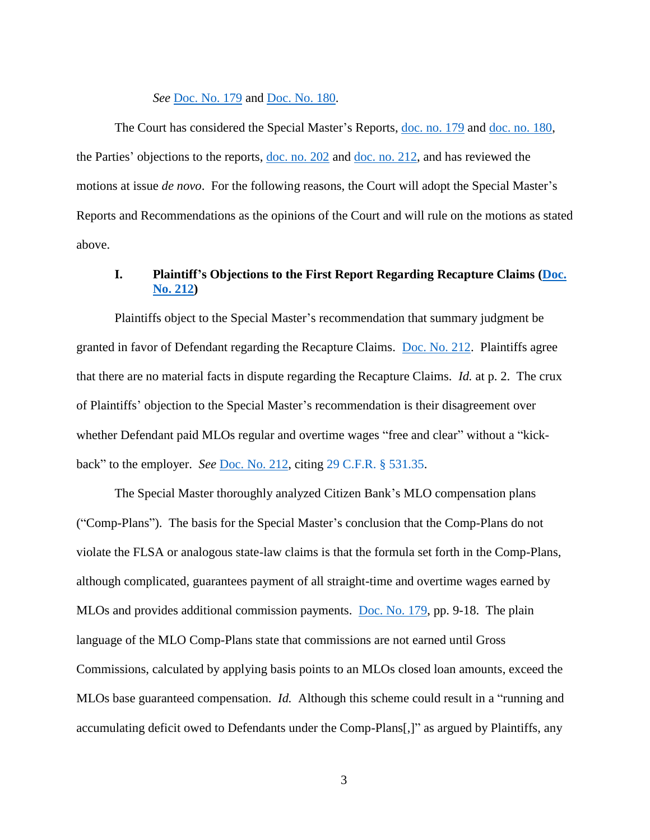#### *See* [Doc. No. 179](https://ecf.pawd.uscourts.gov/doc1/15715811728) and [Doc. No. 180.](https://ecf.pawd.uscourts.gov/doc1/15715811736)

The Court has considered the Special Master's Reports, [doc. no. 179](https://ecf.pawd.uscourts.gov/doc1/15715811728) and [doc. no. 180,](https://ecf.pawd.uscourts.gov/doc1/15715811736) the Parties' objections to the reports, [doc. no. 202](https://ecf.pawd.uscourts.gov/doc1/15715835121) and [doc. no. 212,](https://ecf.pawd.uscourts.gov/doc1/15715839729) and has reviewed the motions at issue *de novo*. For the following reasons, the Court will adopt the Special Master's Reports and Recommendations as the opinions of the Court and will rule on the motions as stated above.

# **I. Plaintiff's Objections to the First Report Regarding Recapture Claims (Doc. [No. 212\)](https://ecf.pawd.uscourts.gov/doc1/15715839729)**

Plaintiffs object to the Special Master's recommendation that summary judgment be granted in favor of Defendant regarding the Recapture Claims. [Doc. No. 212.](https://ecf.pawd.uscourts.gov/doc1/15715839729) Plaintiffs agree that there are no material facts in dispute regarding the Recapture Claims. *Id.* at p. 2. The crux of Plaintiffs' objection to the Special Master's recommendation is their disagreement over whether Defendant paid MLOs regular and overtime wages "free and clear" without a "kickback" to the employer. *See* [Doc. No. 212,](https://ecf.pawd.uscourts.gov/doc1/15715839729) citing [29 C.F.R. § 531.35.](http://www.westlaw.com/Find/default.wl?rs=kmfn4.8&vr=2.0&kmvr=2.6&FindType=L&DB=1000547&DocName=29CFRS531.35&kmsource=da3.0)

The Special Master thoroughly analyzed Citizen Bank's MLO compensation plans ("Comp-Plans"). The basis for the Special Master's conclusion that the Comp-Plans do not violate the FLSA or analogous state-law claims is that the formula set forth in the Comp-Plans, although complicated, guarantees payment of all straight-time and overtime wages earned by MLOs and provides additional commission payments. [Doc. No. 179,](https://ecf.pawd.uscourts.gov/doc1/15715811728) pp. 9-18. The plain language of the MLO Comp-Plans state that commissions are not earned until Gross Commissions, calculated by applying basis points to an MLOs closed loan amounts, exceed the MLOs base guaranteed compensation. *Id.* Although this scheme could result in a "running and accumulating deficit owed to Defendants under the Comp-Plans[,]" as argued by Plaintiffs, any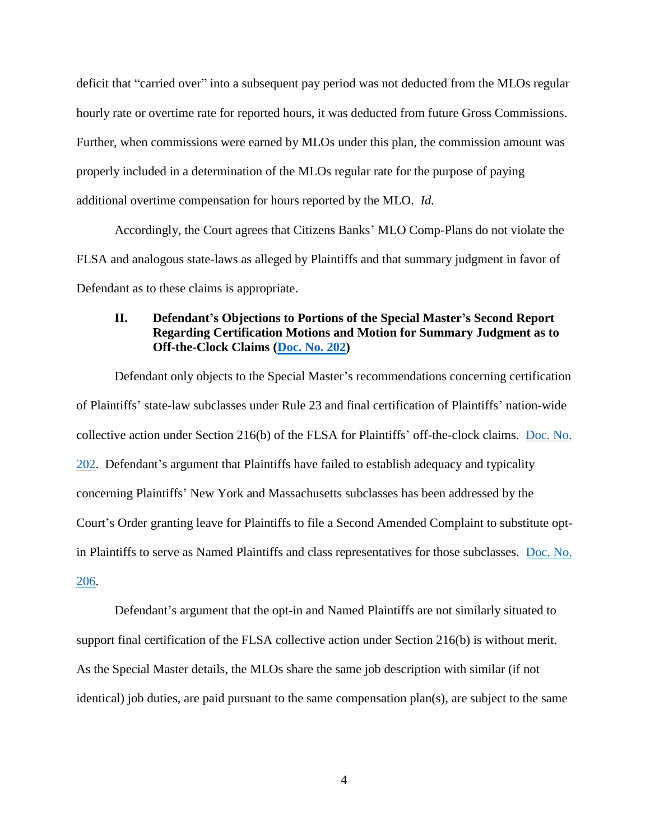deficit that "carried over" into a subsequent pay period was not deducted from the MLOs regular hourly rate or overtime rate for reported hours, it was deducted from future Gross Commissions. Further, when commissions were earned by MLOs under this plan, the commission amount was properly included in a determination of the MLOs regular rate for the purpose of paying additional overtime compensation for hours reported by the MLO. *Id.*

Accordingly, the Court agrees that Citizens Banks' MLO Comp-Plans do not violate the FLSA and analogous state-laws as alleged by Plaintiffs and that summary judgment in favor of Defendant as to these claims is appropriate.

## **II. Defendant's Objections to Portions of the Special Master's Second Report Regarding Certification Motions and Motion for Summary Judgment as to Off-the-Clock Claims [\(Doc. No. 202\)](https://ecf.pawd.uscourts.gov/doc1/15715835121)**

Defendant only objects to the Special Master's recommendations concerning certification of Plaintiffs' state-law subclasses under Rule 23 and final certification of Plaintiffs' nation-wide collective action under Section 216(b) of the FLSA for Plaintiffs' off-the-clock claims. [Doc. No.](https://ecf.pawd.uscourts.gov/doc1/15715835121)  [202.](https://ecf.pawd.uscourts.gov/doc1/15715835121) Defendant's argument that Plaintiffs have failed to establish adequacy and typicality concerning Plaintiffs' New York and Massachusetts subclasses has been addressed by the Court's Order granting leave for Plaintiffs to file a Second Amended Complaint to substitute optin Plaintiffs to serve as Named Plaintiffs and class representatives for those subclasses. [Doc. No.](https://ecf.pawd.uscourts.gov/doc1/15715837434)  [206.](https://ecf.pawd.uscourts.gov/doc1/15715837434)

Defendant's argument that the opt-in and Named Plaintiffs are not similarly situated to support final certification of the FLSA collective action under Section 216(b) is without merit. As the Special Master details, the MLOs share the same job description with similar (if not identical) job duties, are paid pursuant to the same compensation plan(s), are subject to the same